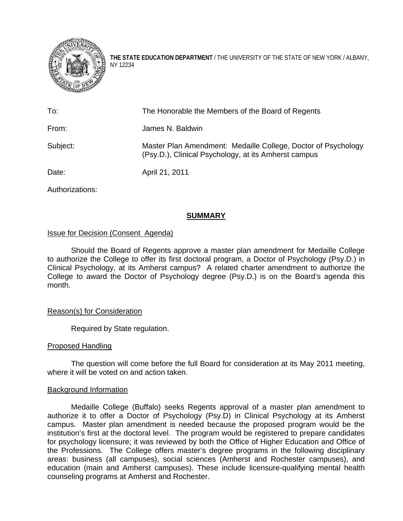

**THE STATE EDUCATION DEPARTMENT** / THE UNIVERSITY OF THE STATE OF NEW YORK / ALBANY, NY 12234

| To:             | The Honorable the Members of the Board of Regents                                                                     |
|-----------------|-----------------------------------------------------------------------------------------------------------------------|
| From:           | James N. Baldwin                                                                                                      |
| Subject:        | Master Plan Amendment: Medaille College, Doctor of Psychology<br>(Psy.D.), Clinical Psychology, at its Amherst campus |
| Date:           | April 21, 2011                                                                                                        |
| Authorizations: |                                                                                                                       |

**SUMMARY**

# Issue for Decision (Consent Agenda)

Should the Board of Regents approve a master plan amendment for Medaille College to authorize the College to offer its first doctoral program, a Doctor of Psychology (Psy.D.) in Clinical Psychology, at its Amherst campus? A related charter amendment to authorize the College to award the Doctor of Psychology degree (Psy.D.) is on the Board's agenda this month.

## Reason(s) for Consideration

Required by State regulation.

## Proposed Handling

The question will come before the full Board for consideration at its May 2011 meeting, where it will be voted on and action taken.

## Background Information

Medaille College (Buffalo) seeks Regents approval of a master plan amendment to authorize it to offer a Doctor of Psychology (Psy.D) in Clinical Psychology at its Amherst campus. Master plan amendment is needed because the proposed program would be the institution's first at the doctoral level. The program would be registered to prepare candidates for psychology licensure; it was reviewed by both the Office of Higher Education and Office of the Professions. The College offers master's degree programs in the following disciplinary areas: business (all campuses), social sciences (Amherst and Rochester campuses), and education (main and Amherst campuses). These include licensure-qualifying mental health counseling programs at Amherst and Rochester.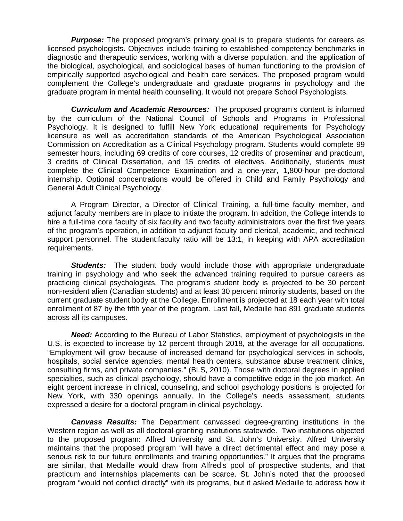**Purpose:** The proposed program's primary goal is to prepare students for careers as licensed psychologists. Objectives include training to established competency benchmarks in diagnostic and therapeutic services, working with a diverse population, and the application of the biological, psychological, and sociological bases of human functioning to the provision of empirically supported psychological and health care services. The proposed program would complement the College's undergraduate and graduate programs in psychology and the graduate program in mental health counseling. It would not prepare School Psychologists.

*Curriculum and Academic Resources:* The proposed program's content is informed by the curriculum of the National Council of Schools and Programs in Professional Psychology. It is designed to fulfill New York educational requirements for Psychology licensure as well as accreditation standards of the American Psychological Association Commission on Accreditation as a Clinical Psychology program. Students would complete 99 semester hours, including 69 credits of core courses, 12 credits of proseminar and practicum, 3 credits of Clinical Dissertation, and 15 credits of electives. Additionally, students must complete the Clinical Competence Examination and a one-year, 1,800-hour pre-doctoral internship. Optional concentrations would be offered in Child and Family Psychology and General Adult Clinical Psychology.

A Program Director, a Director of Clinical Training, a full-time faculty member, and adjunct faculty members are in place to initiate the program. In addition, the College intends to hire a full-time core faculty of six faculty and two faculty administrators over the first five years of the program's operation, in addition to adjunct faculty and clerical, academic, and technical support personnel. The student:faculty ratio will be 13:1, in keeping with APA accreditation requirements.

**Students:** The student body would include those with appropriate undergraduate training in psychology and who seek the advanced training required to pursue careers as practicing clinical psychologists. The program's student body is projected to be 30 percent non-resident alien (Canadian students) and at least 30 percent minority students, based on the current graduate student body at the College. Enrollment is projected at 18 each year with total enrollment of 87 by the fifth year of the program. Last fall, Medaille had 891 graduate students across all its campuses.

*Need:* According to the Bureau of Labor Statistics, employment of psychologists in the U.S. is expected to increase by 12 percent through 2018, at the average for all occupations. "Employment will grow because of increased demand for psychological services in schools, hospitals, social service agencies, mental health centers, substance abuse treatment clinics, consulting firms, and private companies." (BLS, 2010). Those with doctoral degrees in applied specialties, such as clinical psychology, should have a competitive edge in the job market. An eight percent increase in clinical, counseling, and school psychology positions is projected for New York, with 330 openings annually. In the College's needs assessment, students expressed a desire for a doctoral program in clinical psychology.

*Canvass Results:* The Department canvassed degree-granting institutions in the Western region as well as all doctoral-granting institutions statewide. Two institutions objected to the proposed program: Alfred University and St. John's University. Alfred University maintains that the proposed program "will have a direct detrimental effect and may pose a serious risk to our future enrollments and training opportunities." It argues that the programs are similar, that Medaille would draw from Alfred's pool of prospective students, and that practicum and internships placements can be scarce. St. John's noted that the proposed program "would not conflict directly" with its programs, but it asked Medaille to address how it